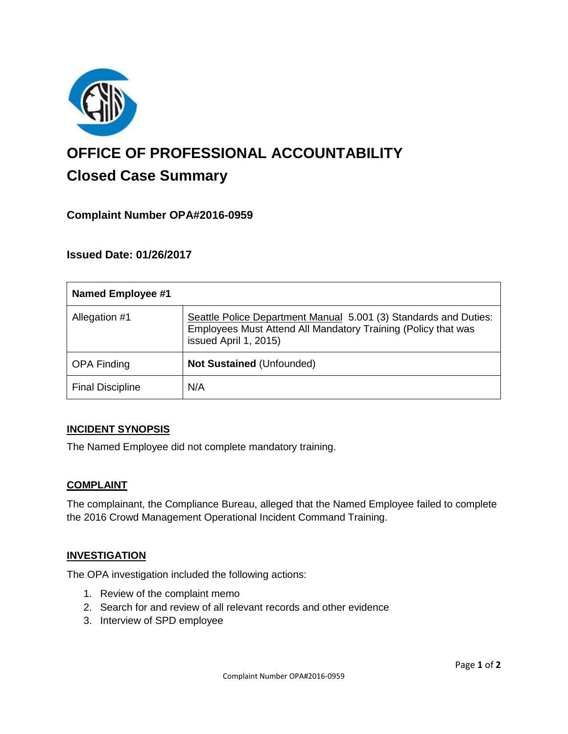

# **OFFICE OF PROFESSIONAL ACCOUNTABILITY Closed Case Summary**

## **Complaint Number OPA#2016-0959**

## **Issued Date: 01/26/2017**

| <b>Named Employee #1</b> |                                                                                                                                                            |
|--------------------------|------------------------------------------------------------------------------------------------------------------------------------------------------------|
| Allegation #1            | Seattle Police Department Manual 5.001 (3) Standards and Duties:<br>Employees Must Attend All Mandatory Training (Policy that was<br>issued April 1, 2015) |
| <b>OPA Finding</b>       | Not Sustained (Unfounded)                                                                                                                                  |
| <b>Final Discipline</b>  | N/A                                                                                                                                                        |

#### **INCIDENT SYNOPSIS**

The Named Employee did not complete mandatory training.

#### **COMPLAINT**

The complainant, the Compliance Bureau, alleged that the Named Employee failed to complete the 2016 Crowd Management Operational Incident Command Training.

#### **INVESTIGATION**

The OPA investigation included the following actions:

- 1. Review of the complaint memo
- 2. Search for and review of all relevant records and other evidence
- 3. Interview of SPD employee